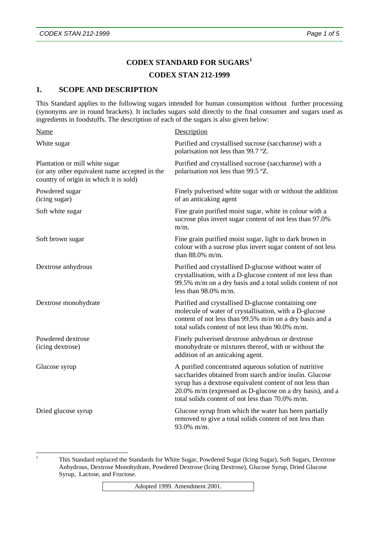# **CODEX STANDARD FOR SUGARS[1](#page-0-0)**

# **CODEX STAN 212-1999**

### **1. SCOPE AND DESCRIPTION**

This Standard applies to the following sugars intended for human consumption without further processing (synonyms are in round brackets). It includes sugars sold directly to the final consumer and sugars used as ingredients in foodstuffs. The description of each of the sugars is also given below:

| <b>Name</b>                                                                                                               | Description                                                                                                                                                                                                                                                                                  |
|---------------------------------------------------------------------------------------------------------------------------|----------------------------------------------------------------------------------------------------------------------------------------------------------------------------------------------------------------------------------------------------------------------------------------------|
| White sugar                                                                                                               | Purified and crystallised sucrose (saccharose) with a<br>polarisation not less than 99.7 °Z.                                                                                                                                                                                                 |
| Plantation or mill white sugar<br>(or any other equivalent name accepted in the<br>country of origin in which it is sold) | Purified and crystallised sucrose (saccharose) with a<br>polarisation not less than 99.5 °Z.                                                                                                                                                                                                 |
| Powdered sugar<br>(icing sugar)                                                                                           | Finely pulverised white sugar with or without the addition<br>of an anticaking agent                                                                                                                                                                                                         |
| Soft white sugar                                                                                                          | Fine grain purified moist sugar, white in colour with a<br>sucrose plus invert sugar content of not less than 97.0%<br>$m/m$ .                                                                                                                                                               |
| Soft brown sugar                                                                                                          | Fine grain purified moist sugar, light to dark brown in<br>colour with a sucrose plus invert sugar content of not less<br>than 88.0% m/m.                                                                                                                                                    |
| Dextrose anhydrous                                                                                                        | Purified and crystallised D-glucose without water of<br>crystallisation, with a D-glucose content of not less than<br>99.5% m/m on a dry basis and a total solids content of not<br>less than $98.0\%$ m/m.                                                                                  |
| Dextrose monohydrate                                                                                                      | Purified and crystallised D-glucose containing one<br>molecule of water of crystallisation, with a D-glucose<br>content of not less than 99.5% m/m on a dry basis and a<br>total solids content of not less than 90.0% m/m.                                                                  |
| Powdered dextrose<br>(icing dextrose)                                                                                     | Finely pulverised dextrose anhydrous or dextrose<br>monohydrate or mixtures thereof, with or without the<br>addition of an anticaking agent.                                                                                                                                                 |
| Glucose syrup                                                                                                             | A purified concentrated aqueous solution of nutritive<br>saccharides obtained from starch and/or inulin. Glucose<br>syrup has a dextrose equivalent content of not less than<br>20.0% m/m (expressed as D-glucose on a dry basis), and a<br>total solids content of not less than 70.0% m/m. |
| Dried glucose syrup                                                                                                       | Glucose syrup from which the water has been partially<br>removed to give a total solids content of not less than<br>93.0% m/m.                                                                                                                                                               |

<span id="page-0-0"></span> $\frac{1}{1}$ 

 This Standard replaced the Standards for White Sugar, Powdered Sugar (Icing Sugar), Soft Sugars, Dextrose Anhydrous, Dextrose Monohydrate, Powdered Dextrose (Icing Dextrose), Glucose Syrup, Dried Glucose Syrup, Lactose, and Fructose.

Adopted 1999. Amendment 2001.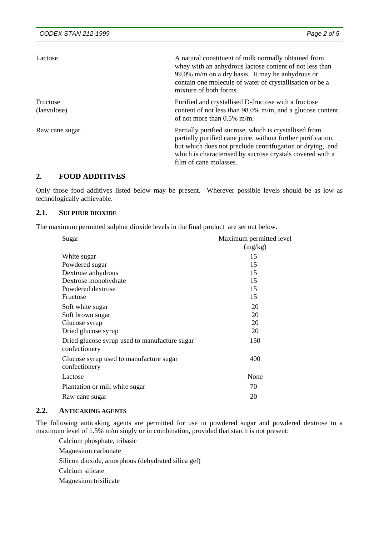| Lactose                 | A natural constituent of milk normally obtained from<br>whey with an anhydrous lactose content of not less than<br>99.0% m/m on a dry basis. It may be anhydrous or<br>contain one molecule of water of crystallisation or be a<br>mixture of both forms.                  |
|-------------------------|----------------------------------------------------------------------------------------------------------------------------------------------------------------------------------------------------------------------------------------------------------------------------|
| Fructose<br>(laevulose) | Purified and crystallised D-fructose with a fructose<br>content of not less than 98.0% m/m, and a glucose content<br>of not more than $0.5\%$ m/m.                                                                                                                         |
| Raw cane sugar          | Partially purified sucrose, which is crystallised from<br>partially purified cane juice, without further purification,<br>but which does not preclude centrifugation or drying, and<br>which is characterised by sucrose crystals covered with a<br>film of cane molasses. |

### **2. FOOD ADDITIVES**

Only those food additives listed below may be present. Wherever possible levels should be as low as technologically achievable.

### **2.1. SULPHUR DIOXIDE**

The maximum permitted sulphur dioxide levels in the final product are set out below.

| <u>Sugar</u>                                                   | Maximum permitted level |
|----------------------------------------------------------------|-------------------------|
|                                                                | (mg/kg)                 |
| White sugar                                                    | 15                      |
| Powdered sugar                                                 | 15                      |
| Dextrose anhydrous                                             | 15                      |
| Dextrose monohydrate                                           | 15                      |
| Powdered dextrose                                              | 15                      |
| Fructose                                                       | 15                      |
| Soft white sugar                                               | 20                      |
| Soft brown sugar                                               | 20                      |
| Glucose syrup                                                  | 20                      |
| Dried glucose syrup                                            | 20                      |
| Dried glucose syrup used to manufacture sugar<br>confectionery | 150                     |
| Glucose syrup used to manufacture sugar<br>confectionery       | 400                     |
| Lactose                                                        | None                    |
| Plantation or mill white sugar                                 | 70                      |
| Raw cane sugar                                                 | 20                      |
|                                                                |                         |

### **2.2. ANTICAKING AGENTS**

The following anticaking agents are permitted for use in powdered sugar and powdered dextrose to a maximum level of 1.5% m/m singly or in combination, provided that starch is not present:

Calcium phosphate, tribasic

Magnesium carbonate

Silicon dioxide, amorphous (dehydrated silica gel)

Calcium silicate

Magnesium trisilicate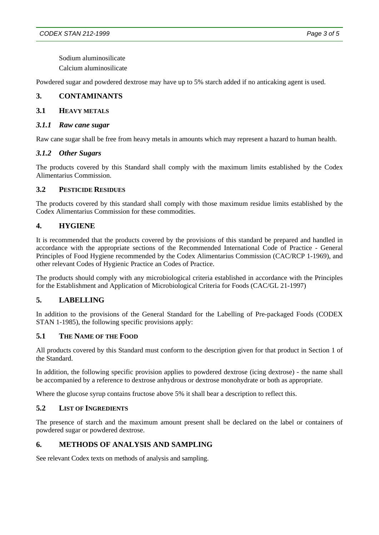Sodium aluminosilicate

Calcium aluminosilicate

Powdered sugar and powdered dextrose may have up to 5% starch added if no anticaking agent is used.

### **3. CONTAMINANTS**

### **3.1 HEAVY METALS**

#### *3.1.1 Raw cane sugar*

Raw cane sugar shall be free from heavy metals in amounts which may represent a hazard to human health.

#### *3.1.2 Other Sugars*

The products covered by this Standard shall comply with the maximum limits established by the Codex Alimentarius Commission.

#### **3.2 PESTICIDE RESIDUES**

The products covered by this standard shall comply with those maximum residue limits established by the Codex Alimentarius Commission for these commodities.

## **4. HYGIENE**

It is recommended that the products covered by the provisions of this standard be prepared and handled in accordance with the appropriate sections of the Recommended International Code of Practice - General Principles of Food Hygiene recommended by the Codex Alimentarius Commission (CAC/RCP 1-1969), and other relevant Codes of Hygienic Practice an Codes of Practice.

The products should comply with any microbiological criteria established in accordance with the Principles for the Establishment and Application of Microbiological Criteria for Foods (CAC/GL 21-1997)

## **5. LABELLING**

In addition to the provisions of the General Standard for the Labelling of Pre-packaged Foods (CODEX STAN 1-1985), the following specific provisions apply:

#### **5.1 THE NAME OF THE FOOD**

All products covered by this Standard must conform to the description given for that product in Section 1 of the Standard.

In addition, the following specific provision applies to powdered dextrose (icing dextrose) - the name shall be accompanied by a reference to dextrose anhydrous or dextrose monohydrate or both as appropriate.

Where the glucose syrup contains fructose above 5% it shall bear a description to reflect this.

## **5.2 LIST OF INGREDIENTS**

The presence of starch and the maximum amount present shall be declared on the label or containers of powdered sugar or powdered dextrose.

## **6. METHODS OF ANALYSIS AND SAMPLING**

See relevant Codex texts on methods of analysis and sampling.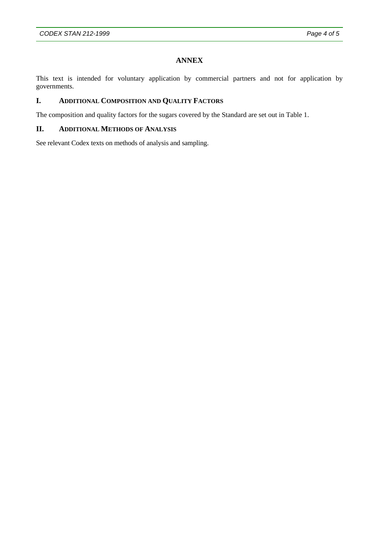# **ANNEX**

This text is intended for voluntary application by commercial partners and not for application by governments.

# **I. ADDITIONAL COMPOSITION AND QUALITY FACTORS**

The composition and quality factors for the sugars covered by the Standard are set out in Table 1.

# **II. ADDITIONAL METHODS OF ANALYSIS**

See relevant Codex texts on methods of analysis and sampling.